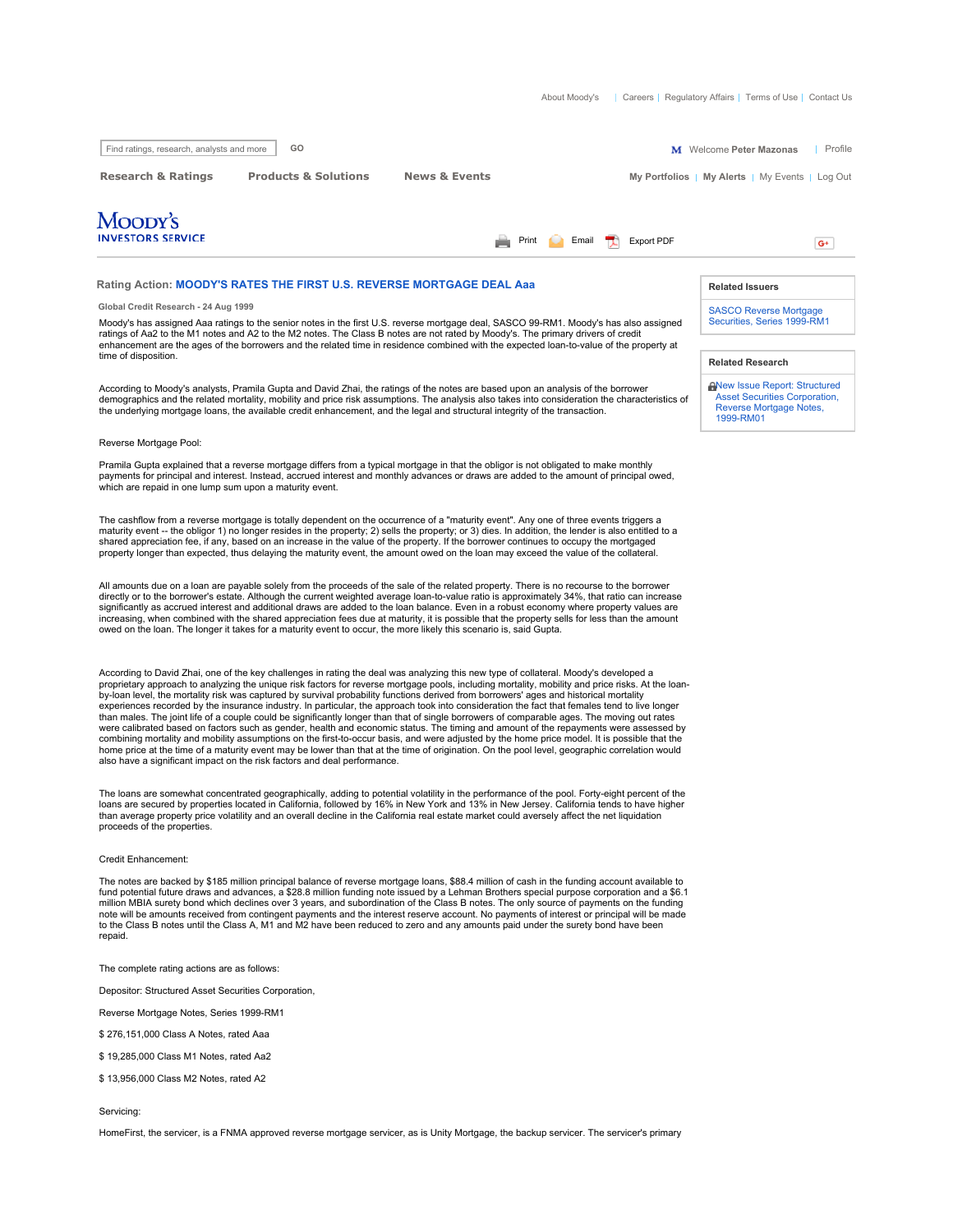| Find ratings, research, analysts and more                                                                                                                                                                                                                                                                                                                                                                         | GO                                                                                                           |                                                                                                                                                                                                                                                                                                                                                                                                                                                                                                                                                                                                                                                                                                             |                            | <b>M</b> Welcome Peter Mazonas<br>Profile       |
|-------------------------------------------------------------------------------------------------------------------------------------------------------------------------------------------------------------------------------------------------------------------------------------------------------------------------------------------------------------------------------------------------------------------|--------------------------------------------------------------------------------------------------------------|-------------------------------------------------------------------------------------------------------------------------------------------------------------------------------------------------------------------------------------------------------------------------------------------------------------------------------------------------------------------------------------------------------------------------------------------------------------------------------------------------------------------------------------------------------------------------------------------------------------------------------------------------------------------------------------------------------------|----------------------------|-------------------------------------------------|
| <b>Research &amp; Ratings</b>                                                                                                                                                                                                                                                                                                                                                                                     | <b>Products &amp; Solutions</b>                                                                              | <b>News &amp; Events</b>                                                                                                                                                                                                                                                                                                                                                                                                                                                                                                                                                                                                                                                                                    |                            | My Portfolios   My Alerts   My Events   Log Out |
| Moody's<br><b>INVESTORS SERVICE</b>                                                                                                                                                                                                                                                                                                                                                                               |                                                                                                              | Print                                                                                                                                                                                                                                                                                                                                                                                                                                                                                                                                                                                                                                                                                                       | Email<br><b>Export PDF</b> | $G^+$                                           |
|                                                                                                                                                                                                                                                                                                                                                                                                                   | Rating Action: MOODY'S RATES THE FIRST U.S. REVERSE MORTGAGE DEAL Aaa                                        |                                                                                                                                                                                                                                                                                                                                                                                                                                                                                                                                                                                                                                                                                                             |                            | <b>Related Issuers</b>                          |
| Global Credit Research - 24 Aug 1999                                                                                                                                                                                                                                                                                                                                                                              |                                                                                                              |                                                                                                                                                                                                                                                                                                                                                                                                                                                                                                                                                                                                                                                                                                             |                            | <b>SASCO Reverse Mortgage</b>                   |
| Moody's has assigned Aaa ratings to the senior notes in the first U.S. reverse mortgage deal, SASCO 99-RM1. Moody's has also assigned                                                                                                                                                                                                                                                                             | Securities, Series 1999-RM1                                                                                  |                                                                                                                                                                                                                                                                                                                                                                                                                                                                                                                                                                                                                                                                                                             |                            |                                                 |
|                                                                                                                                                                                                                                                                                                                                                                                                                   |                                                                                                              | ratings of Aa2 to the M1 notes and A2 to the M2 notes. The Class B notes are not rated by Moody's. The primary drivers of credit<br>enhancement are the ages of the borrowers and the related time in residence combined with the expected loan-to-value of the property at                                                                                                                                                                                                                                                                                                                                                                                                                                 |                            |                                                 |
| time of disposition.                                                                                                                                                                                                                                                                                                                                                                                              |                                                                                                              |                                                                                                                                                                                                                                                                                                                                                                                                                                                                                                                                                                                                                                                                                                             |                            | <b>Related Research</b>                         |
| According to Moody's analysts, Pramila Gupta and David Zhai, the ratings of the notes are based upon an analysis of the borrower<br>demographics and the related mortality, mobility and price risk assumptions. The analysis also takes into consideration the characteristics of<br>the underlying mortgage loans, the available credit enhancement, and the legal and structural integrity of the transaction. | New Issue Report: Structured<br><b>Asset Securities Corporation,</b><br>Reverse Mortgage Notes,<br>1999-RM01 |                                                                                                                                                                                                                                                                                                                                                                                                                                                                                                                                                                                                                                                                                                             |                            |                                                 |
| Reverse Mortgage Pool:                                                                                                                                                                                                                                                                                                                                                                                            |                                                                                                              |                                                                                                                                                                                                                                                                                                                                                                                                                                                                                                                                                                                                                                                                                                             |                            |                                                 |
| which are repaid in one lump sum upon a maturity event.                                                                                                                                                                                                                                                                                                                                                           |                                                                                                              | Pramila Gupta explained that a reverse mortgage differs from a typical mortgage in that the obligor is not obligated to make monthly<br>payments for principal and interest. Instead, accrued interest and monthly advances or draws are added to the amount of principal owed,                                                                                                                                                                                                                                                                                                                                                                                                                             |                            |                                                 |
|                                                                                                                                                                                                                                                                                                                                                                                                                   |                                                                                                              | The cashflow from a reverse mortgage is totally dependent on the occurrence of a "maturity event". Any one of three events triggers a<br>maturity event -- the obligor 1) no longer resides in the property; 2) sells the property; or 3) dies. In addition, the lender is also entitled to a<br>shared appreciation fee, if any, based on an increase in the value of the property. If the borrower continues to occupy the mortgaged<br>property longer than expected, thus delaying the maturity event, the amount owed on the loan may exceed the value of the collateral.                                                                                                                              |                            |                                                 |
|                                                                                                                                                                                                                                                                                                                                                                                                                   |                                                                                                              | All amounts due on a loan are payable solely from the proceeds of the sale of the related property. There is no recourse to the borrower<br>directly or to the borrower's estate. Although the current weighted average loan-to-value ratio is approximately 34%, that ratio can increase<br>significantly as accrued interest and additional draws are added to the loan balance. Even in a robust economy where property values are<br>increasing, when combined with the shared appreciation fees due at maturity, it is possible that the property sells for less than the amount<br>owed on the loan. The longer it takes for a maturity event to occur, the more likely this scenario is, said Gupta. |                            |                                                 |
|                                                                                                                                                                                                                                                                                                                                                                                                                   |                                                                                                              | According to David Zhai, one of the key challenges in rating the deal was analyzing this new type of collateral. Moody's developed a                                                                                                                                                                                                                                                                                                                                                                                                                                                                                                                                                                        |                            |                                                 |

According to David Zhai, one of the key challenges in rating the deal was analyzing this new type of collateral. Moody's developed a<br>proprietary approach to analyzing the unique risk factors for reverse mortgage pools, inc by-loan level, the mortality risk was captured by survival probability functions derived from borrowers' ages and historical mortality experiences recorded by the insurance industry. In particular, the approach took into consideration the fact that females tend to live longer than males. The joint life of a couple could be significantly longer than that of single borrowers of comparable ages. The moving out rates<br>were calibrated based on factors such as gender, health and economic status. The t combining mortality and mobility assumptions on the first-to-occur basis, and were adjusted by the home price model. It is possible that the home price at the time of a maturity event may be lower than that at the time of origination. On the pool level, geographic correlation would also have a significant impact on the risk factors and deal performance.

The loans are somewhat concentrated geographically, adding to potential volatility in the performance of the pool. Forty-eight percent of the<br>Ioans are secured by properties located in California, followed by 16% in New Yo

## Credit Enhancement:

The notes are backed by \$185 million principal balance of reverse mortgage loans, \$88.4 million of cash in the funding account available to fund potential future draws and advances, a \$28.8 million funding note issued by a Lehman Brothers special purpose corporation and a \$6.1 million MBIA surety bond which declines over 3 years, and subordination of the Class B notes. The only source of payments on the funding note will be amounts received from contingent payments and the interest reserve account. No payments of interest or principal will be made<br>to the Class B notes until the Class A, M1 and M2 have been reduced to zero and any repaid.

The complete rating actions are as follows:

Depositor: Structured Asset Securities Corporation,

Reverse Mortgage Notes, Series 1999-RM1

\$ 276,151,000 Class A Notes, rated Aaa

\$ 19,285,000 Class M1 Notes, rated Aa2

\$ 13,956,000 Class M2 Notes, rated A2

Servicing:

HomeFirst, the servicer, is a FNMA approved reverse mortgage servicer, as is Unity Mortgage, the backup servicer. The servicer's primary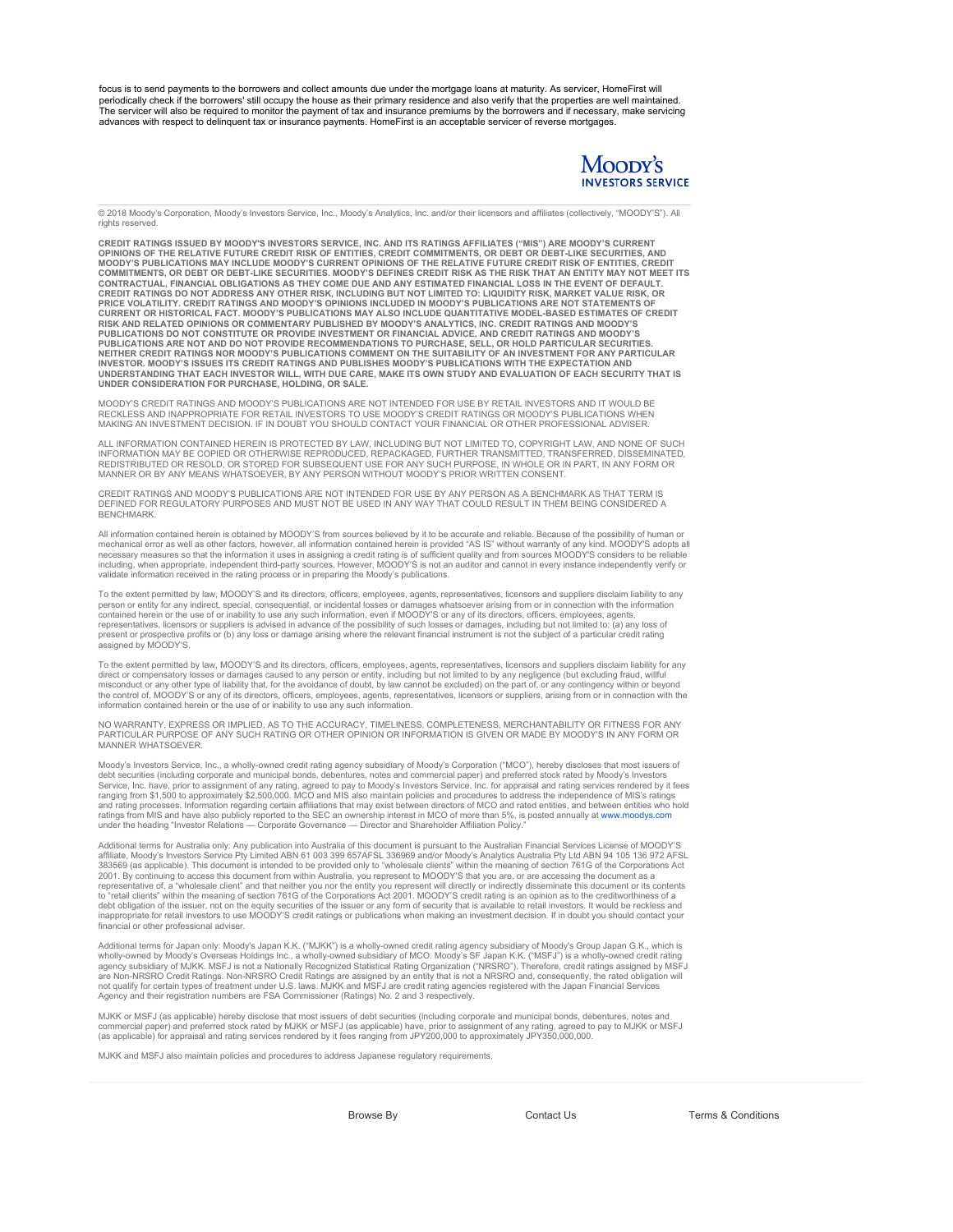focus is to send payments to the borrowers and collect amounts due under the mortgage loans at maturity. As servicer, HomeFirst will periodically check if the borrowers' still occupy the house as their primary residence and also verify that the properties are well maintained.<br>The servicer will also be required to monitor the payment of tax and insurance advances with respect to delinquent tax or insurance payments. HomeFirst is an acceptable servicer of reverse mortgages.



© 2018 Moody's Corporation, Moody's Investors Service, Inc., Moody's Analytics, Inc. and/or their licensors and affiliates (collectively, "MOODY'S"). All rights reserve

**CREDIT RATINGS ISSUED BY MOODY'S INVESTORS SERVICE, INC. AND ITS RATINGS AFFILIATES ("MIS") ARE MOODY'S CURRENT**  OPINIONS OF THE RELATIVE FUTURE CREDIT RISK OF ENTITIES, CREDIT COMMITMENTS, OR DEBT OR DEBT-LIKE SECURITIES, AND<br>MOODY'S PUBLICATIONS MAY INCLUDE MOODY'S CURRENT OPINIONS OF THE RELATIVE FUTURE CREDIT RISK OF ENTITIES, CR PRICE VOLATILITY. CREDIT RATINGS AND MOODY'S OPINIONS INCLUDED IN MOODY'S PUBLICATIONS ARE NOT STATEMENTS OF<br>CURRENT OR HISTORICAL FACT. MOODY'S PUBLICATIONS MAY ALSO INCLUDE QUANTITATIVE MODEL-BASED ESTIMATES OF CREDIT RISK AND RELATED OPINIONS OR COMMENTARY PUBLISHED BY MOODY'S ANALYTICS, INC. CREDIT RATINGS AND MOODY'S<br>PUBLICATIONS DO NOT CONSTITUTE OR PROVIDE INVESTMENT OR FINANCIAL ADVICE, AND CREDIT RATINGS AND MOODY'S<br>PUBLICATIONS **NEITHER CREDIT RATINGS NOR MOODY'S PUBLICATIONS COMMENT ON THE SUITABILITY OF AN INVESTMENT FOR ANY PARTICULAR**  INVESTOR. MOODY'S ISSUES ITS CREDIT RATINGS AND PUBLISHES MOODY'S PUBLICATIONS WITH THE EXPECTATION AND<br>UNDERSTANDING THAT EACH INVESTOR WILL, WITH DUE CARE, MAKE ITS OWN STUDY AND EVALUATION OF EACH SECURITY THAT IS **UNDER CONSIDERATION FOR PURCHASE, HOLDING, OR SALE.**

MOODY'S CREDIT RATINGS AND MOODY'S PUBLICATIONS ARE NOT INTENDED FOR USE BY RETAIL INVESTORS AND IT WOULD BE RECKLESS AND INAPPROPRIATE FOR RETAIL INVESTORS TO USE MOODY'S CREDIT RATINGS OR MOODY'S PUBLICATIONS WHEN<br>MAKING AN INVESTMENT DECISION. IF IN DOUBT YOU SHOULD CONTACT YOUR FINANCIAL OR OTHER PROFESSIONAL ADVISER.

ALL INFORMATION CONTAINED HEREIN IS PROTECTED BY LAW, INCLUDING BUT NOT LIMITED TO, COPYRIGHT LAW, AND NONE OF SUCH INFORMATION MAY BE COPIED OR OTHERWISE REPRODUCED, REPACKAGED, FURTHER TRANSMITTED, TRANSFERRED, DISSEMINATED,<br>REDISTRIBUTED OR RESOLD, OR STORED FOR SUBSEQUENT USE FOR ANY SUCH PURPOSE, IN WHOLE OR IN PART, IN ANY FORM OR

CREDIT RATINGS AND MOODY'S PUBLICATIONS ARE NOT INTENDED FOR USE BY ANY PERSON AS A BENCHMARK AS THAT TERM IS DEFINED FOR REGULATORY PURPOSES AND MUST NOT BE USED IN ANY WAY THAT COULD RESULT IN THEM BEING CONSIDERED A BENCHMARK.

All information contained herein is obtained by MOODY'S from sources believed by it to be accurate and reliable. Because of the possibility of human or mechanical error as well as other factors, however, all information contained herein is provided "AS IS" without warranty of any kind. MOODY'S adopts all<br>necessary measures so that the information it uses in assigning a cr including, when appropriate, independent third-party sources. However, MOODY'S is not an auditor and cannot in every instance independently verify or<br>validate information received in the rating process or in preparing the

To the extent permitted by law, MOODY'S and its directors, officers, employees, agents, representatives, licensors and suppliers disclaim liability to any<br>person or entity for any indirect, special, consequential, or incid contained herein or the use of or inability to use any such information, even if MOODY'S or any of its directors, officers, employees, agents,<br>representatives, licensors or suppliers is advised in advance of the possibilit present or prospective profits or (b) any loss or damage arising where the relevant financial instrument is not the subject of a particular credit rating assigned by MOODY'S.

To the extent permitted by law, MOODY'S and its directors, officers, employees, agents, representatives, licensors and suppliers disclaim liability for any<br>direct or compensatory losses or damages caused to any person or e information contained herein or the use of or inability to use any such information.

NO WARRANTY, EXPRESS OR IMPLIED, AS TO THE ACCURACY, TIMELINESS, COMPLETENESS, MERCHANTABILITY OR FITNESS FOR ANY<br>PARTICULAR PURPOSE OF ANY SUCH RATING OR OTHER OPINION OR INFORMATION IS GIVEN OR MADE BY MOODY'S IN ANY FOR MANNER WHATSOEVER.

Moody's Investors Service, Inc., a wholly-owned credit rating agency subsidiary of Moody's Corporation ("MCO"), hereby discloses that most issuers of<br>debt securities (including corporate and municipal bonds, debentures, no ranging from \$1,500 to approximately \$2,500,000. MCO and MIS also maintain policies and procedures to address the independence of MIS's ratings<br>and rating processes. Information regarding certain affiliations that may exis ratings from MIS and have also publicly reported to the SEC an ownership interest in MCO of more than 5%, is posted annually at www.moodys.com<br>under the heading "Investor Relations — Corporate Governance — Director and Sha

Additional terms for Australia only: Any publication into Australia of this document is pursuant to the Australian Financial Services License of MOODY'S<br>affiliate, Moody's Investors Service Pty Limited ABN 61 003 399 657AF 383569 (as applicable). This document is intended to be provided only to "wholesale clients" within the meaning of section 761G of the Corporations Act<br>2001. By continuing to access this document from within Australia, you representative of, a "wholesale client" and that neither you nor the entity you represent will directly or indirectly disseminate this document or its contents<br>to "retail clients" within the meaning of section 761G of the financial or other professional adviser.

Additional terms for Japan only: Moody's Japan K.K. ("MJKK") is a wholly-owned credit rating agency subsidiary of Moody's SF Group Japan G.K., which is<br>wholly-owned by Moody's Overseas Holdings Inc., a wholly-owned subsidi Agency and their registration numbers are FSA Commissioner (Ratings) No. 2 and 3 respectively.

MJKK or MSFJ (as applicable) hereby disclose that most issuers of debt securities (including corporate and municipal bonds, debentures, notes and<br>commercial paper) and preferred stock rated by MJKK or MSFJ (as applicable)

MJKK and MSFJ also maintain policies and procedures to address Japanese regulatory requirements.

Browse By Contact Us Terms & Conditions